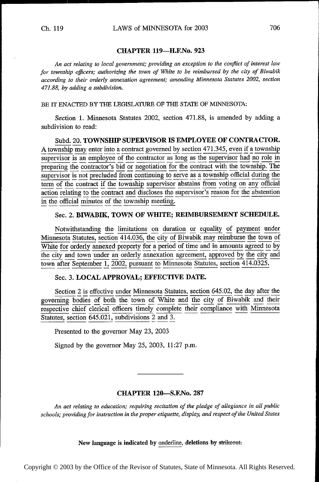## CHAPTER 119—H.F.No. <sup>923</sup>

An act relating to local government; providing an exception to the conflict of interest law for township officers; authorizing the town of White to be reimbursed by the city of Biwabik according to their orderly annexation agreement; amending Minnesota Statutes 2002, section 471.88, by adding a subdivision.

BE IT ENACTED BY THE LEGISLATURE OF THE STATE OF MINNESOTA:

Section 1. Minnesota Statutes 2002, section 471.88, is amended by adding a subdivision to read:

Subd. 20. TOWNSHIP SUPERVISOR IS EMPLOYEE OF CONTRACTOR. A township may enter into a contract governed by section 471.345, even if a township supervisor is an employee of the contractor as long as the supervisor had no role in preparing the contractor's bid or negotiation for the contract with the township. The supervisor is not precluded from continuing to serve as a township official during the term of the contract if the township supervisor abstains from voting on any official action relating to the contract and discloses the supervisor's reason for the abstention in the official minutes of the township meeting.

#### Sec. 2. BIWABIK, TOWN OF WHITE; REIMBURSEMENT SCHEDULE.

Notwithstanding the limitations on duration or equality of payment under Minnesota Statutes, section 414.036, the city of Biwabik may reimburse the town of White for orderly annexed property for a period of time and in amounts agreed to by the city and town under an orderly annexation agreement, approved by the city and town after September 1, 2002, pursuant to Minnesota Statutes, section 414.0325.

# Sec. 3. LOCAL APPROVAL; EFFECTIVE DATE.

Section 2 is effective under Minnesota Statutes, section 645.02, the day after the governing bodies of both the town of White and the city of Biwabik and their respective chief clerical officers timely complete their compliance with Minnesota Statutes, section  $645.021$ , subdivisions 2 and 3.

Presented to the governor May 23, 2003

Signed by the governor May 25, 2003, 11:27 p.m.

# CHAPTER 120——S.F.No. <sup>287</sup>

An act relating to education; requiring recitation of the pledge of allegiance in all public schools; providing for instruction in the proper etiquette, display, and respect of the United States

New language is indicated by underline, deletions by strikeout.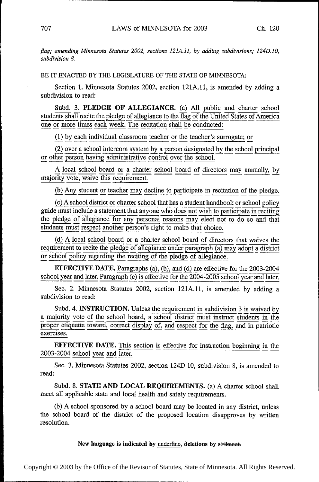flag; amending Minnesota Statutes 2002, sections 121A.11, by adding subdivisions; 124D.10, subdivision 8.

BE IT ENACTED BY THE LEGISLATURE OF THE STATE OF MINNESOTA:

Section 1. Minnesota Statutes 2002, section 121A.1l, is amended by adding a subdivision to read:

Subd. 3. PLEDGE OF ALLEGIANCE. (a) All public and charter school ints shall recite the pledge of allegiance to the flag of the United States of America students shall recite the pledge of allegiance to the  $\overline{\text{flag}}$  of the United States of America<br>one or more times each week. The recitation shall be conducted: one or more times each week. The recitation shall be conducted:

(1) by each individual classroom teacher or me teacher's surrogate; or

 $(2)$  over a school intercom system by a person designated by the school principal or other person having administrative control over the school.

A local school board or a charter school board of directors may annually, by majority vote, waive this requirement.

(b) Any student or teacher may decline to participate in recitation of the pledge.<br>(c) A school district or charter school that has a student handbook or school policy

 $(c)$  A school district or charter school that has a student handbook or school policy guide must include a statement that anyone who does not wish to participate in reciting the pledge of allegiance for any personal reasons may elect not to do so and that students must respect another person's right to make that choice.

(d) A local school board or a charter school board of directors that waives the requirement to recite the pledge of allegiance under paragraph  $(a)$  may adopt a district or school policy regarding the reciting of the pledg

EFFECTIVE DATE. Paragraphs (a), (b), and (d) are effective for the 2003-2004 school year and later. Paragraph (c) is effective for the 2004-2005 school year and later.

Sec. 2. Minnesota Statutes 2002, section 12lA.11, is amended by adding a subdivision to read:

Subd. 4. INSTRUCTION. Unless the requirement in subdivision 3 is waived by a majority vote of the school board, a school district must instruct students in the proper etiquette toward, correct display of, and respect for the flag, and in patriotic exercises.

**EFFECTIVE DATE.** This section is effective for instruction beginning in the 2003-2004 school year and later.

Sec. 3. Minnesota Statutes 2002, section 124D.10, subdivision 8, is amended to read:

Subd. 8. STATE AND LOCAL REQUIREMENTS. (a) A charter school shall meet all applicable state and local health and safety requirements.

(b) A school sponsored by a school board may be located in any district, unless the school board of the district of the proposed location disapproves by written resolution.

New language is indicated by underline, deletions by strikeout.